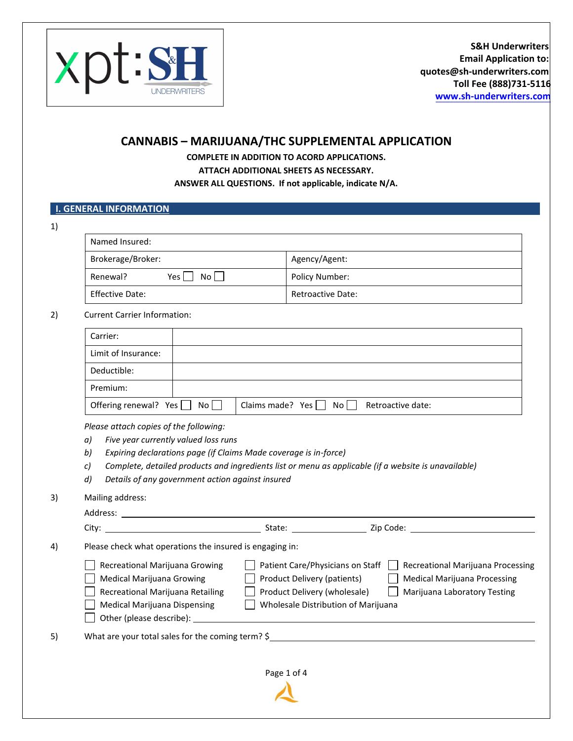

## **CANNABIS – MARIJUANA/THC SUPPLEMENTAL APPLICATION**

**COMPLETE IN ADDITION TO ACORD APPLICATIONS. ATTACH ADDITIONAL SHEETS AS NECESSARY. ANSWER ALL QUESTIONS. If not applicable, indicate N/A.** 

## **I. GENERAL INFORMATION**

| ٦<br>×. |  |
|---------|--|
|         |  |

| Brokerage/Broker:           | Agency/Agent:            |
|-----------------------------|--------------------------|
| Renewal?<br>$No$    <br>Yes | Policy Number:           |
| <b>Effective Date:</b>      | <b>Retroactive Date:</b> |

| Carlent Carlier Information. |  |  |
|------------------------------|--|--|
| Carrier:                     |  |  |
| Limit of Insurance:          |  |  |
| Deductible:                  |  |  |
| Premium:                     |  |  |

Offering renewal? Yes  $\Box$  No  $\Box$  Claims made? Yes  $\Box$  No  $\Box$  Retroactive date:

*Please attach copies of the following:*

- *a) Five year currently valued loss runs*
- *b) Expiring declarations page (if Claims Made coverage is in-force)*
- *c) Complete, detailed products and ingredients list or menu as applicable (if a website is unavailable)*
- *d) Details of any government action against insured*

3) Mailing address:

|    | Address:                                                                                                                                                                  |                                                                                                                                        |                                                                                                                                                                                                                               |
|----|---------------------------------------------------------------------------------------------------------------------------------------------------------------------------|----------------------------------------------------------------------------------------------------------------------------------------|-------------------------------------------------------------------------------------------------------------------------------------------------------------------------------------------------------------------------------|
|    |                                                                                                                                                                           | State: ___________________                                                                                                             | zip Code: will be a series of the contract of the contract of the contract of the contract of the contract of the contract of the contract of the contract of the contract of the contract of the contract of the contract of |
| 4) | Please check what operations the insured is engaging in:                                                                                                                  |                                                                                                                                        |                                                                                                                                                                                                                               |
|    | Recreational Marijuana Growing<br><b>Medical Marijuana Growing</b><br>Recreational Marijuana Retailing<br><b>Medical Marijuana Dispensing</b><br>Other (please describe): | Patient Care/Physicians on Staff<br>Product Delivery (patients)<br>Product Delivery (wholesale)<br>Wholesale Distribution of Marijuana | Recreational Marijuana Processing<br><b>Medical Marijuana Processing</b><br>Marijuana Laboratory Testing                                                                                                                      |
| 5) | What are your total sales for the coming term? $\frac{1}{2}$                                                                                                              |                                                                                                                                        |                                                                                                                                                                                                                               |
|    |                                                                                                                                                                           | Page 1 of 4                                                                                                                            |                                                                                                                                                                                                                               |
|    |                                                                                                                                                                           |                                                                                                                                        |                                                                                                                                                                                                                               |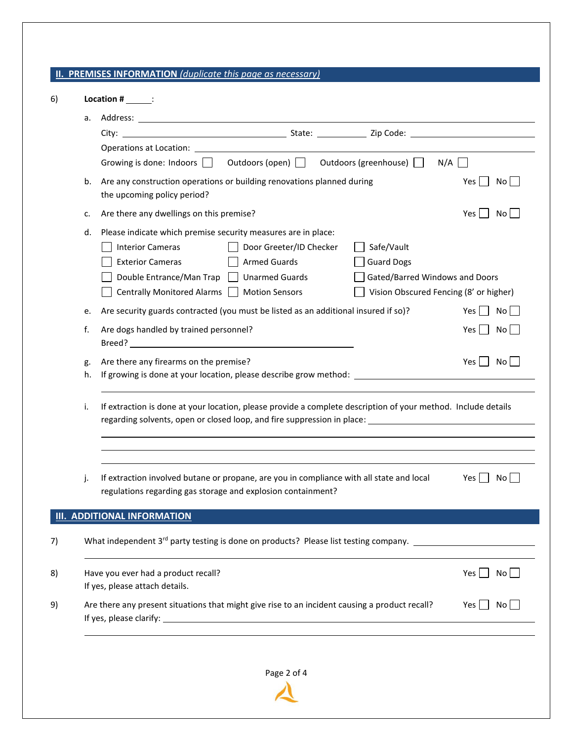## **II. PREMISES INFORMATION** *(duplicate this page as necessary)*

|    | Growing is done: Indoors $\Box$ Outdoors (open) $\Box$ Outdoors (greenhouse) $\Box$<br>$N/A$ $\Box$                                                                                                                                                                           |                  |
|----|-------------------------------------------------------------------------------------------------------------------------------------------------------------------------------------------------------------------------------------------------------------------------------|------------------|
| b. | Are any construction operations or building renovations planned during<br>the upcoming policy period?                                                                                                                                                                         | Yes  <br>No l    |
| c. | Are there any dwellings on this premise?                                                                                                                                                                                                                                      | Yes  <br>No.     |
| d. | Please indicate which premise security measures are in place:                                                                                                                                                                                                                 |                  |
|    | Safe/Vault<br><b>Interior Cameras</b><br>Door Greeter/ID Checker                                                                                                                                                                                                              |                  |
|    | <b>Exterior Cameras</b><br><b>Armed Guards</b><br><b>Guard Dogs</b>                                                                                                                                                                                                           |                  |
|    | Double Entrance/Man Trap Unarmed Guards<br>Gated/Barred Windows and Doors                                                                                                                                                                                                     |                  |
|    | Centrally Monitored Alarms   Motion Sensors<br>Vision Obscured Fencing (8' or higher)                                                                                                                                                                                         |                  |
| e. | Are security guards contracted (you must be listed as an additional insured if so)?                                                                                                                                                                                           | Yes I<br>No      |
|    |                                                                                                                                                                                                                                                                               |                  |
| f. | Are dogs handled by trained personnel?<br>Breed? <b>Example 20</b> Section 20 Section 20 Section 20 Section 20 Section 20 Section 20 Section 20 Section 20 Section 20 Section 20 Section 20 Section 20 Section 20 Section 20 Section 20 Section 20 Section 20 Section 20 Sect | Yes I<br>No      |
| g. | Are there any firearms on the premise?                                                                                                                                                                                                                                        | Yes    <br>No II |
| h. | If growing is done at your location, please describe grow method: __________________________________<br>If extraction is done at your location, please provide a complete description of your method. Include details<br>i.                                                   |                  |
|    |                                                                                                                                                                                                                                                                               |                  |
| j. | If extraction involved butane or propane, are you in compliance with all state and local<br>regulations regarding gas storage and explosion containment?                                                                                                                      | Yes I<br>No.     |
|    |                                                                                                                                                                                                                                                                               |                  |
|    | <b>ADDITIONAL INFORMATION</b>                                                                                                                                                                                                                                                 |                  |
|    | What independent 3 <sup>rd</sup> party testing is done on products? Please list testing company. __________________________                                                                                                                                                   |                  |
|    | Have you ever had a product recall?                                                                                                                                                                                                                                           | Yes  <br>No l    |
|    | If yes, please attach details.                                                                                                                                                                                                                                                |                  |
|    | Are there any present situations that might give rise to an incident causing a product recall?                                                                                                                                                                                | Yes<br>No.       |
|    |                                                                                                                                                                                                                                                                               |                  |
|    |                                                                                                                                                                                                                                                                               |                  |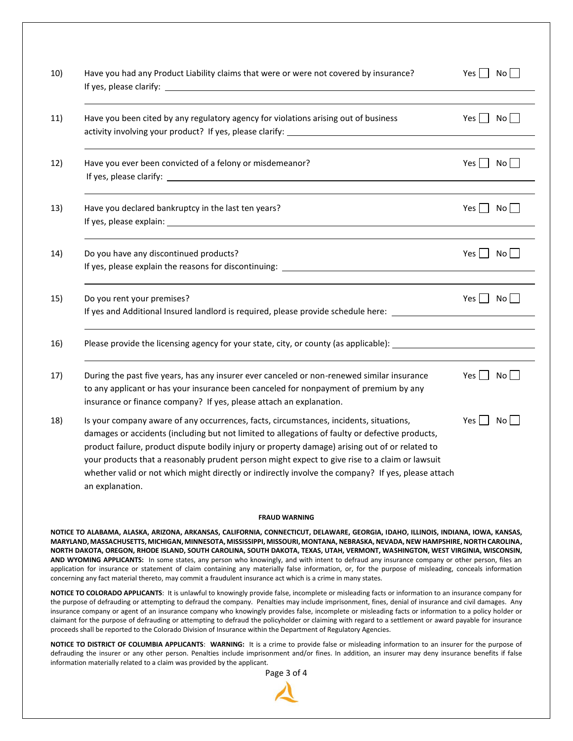| 10) | Have you had any Product Liability claims that were or were not covered by insurance?                                                                                                                                                                                                                                                                                                                                                                                                                                   | Yes  <br>No                              |
|-----|-------------------------------------------------------------------------------------------------------------------------------------------------------------------------------------------------------------------------------------------------------------------------------------------------------------------------------------------------------------------------------------------------------------------------------------------------------------------------------------------------------------------------|------------------------------------------|
| 11) | Have you been cited by any regulatory agency for violations arising out of business<br>activity involving your product? If yes, please clarify: ________________________                                                                                                                                                                                                                                                                                                                                                | Yes No                                   |
| 12) | Have you ever been convicted of a felony or misdemeanor?                                                                                                                                                                                                                                                                                                                                                                                                                                                                | Yes $\Box$ No                            |
| 13) | Have you declared bankruptcy in the last ten years?                                                                                                                                                                                                                                                                                                                                                                                                                                                                     | Yes     No                               |
| 14) | Do you have any discontinued products?<br>If yes, please explain the reasons for discontinuing:                                                                                                                                                                                                                                                                                                                                                                                                                         | $Yes \nightharpoonup No \nightharpoonup$ |
| 15) | Do you rent your premises?<br>If yes and Additional Insured landlord is required, please provide schedule here: ____________________________                                                                                                                                                                                                                                                                                                                                                                            | Yes $\Box$ No $\Box$                     |
| 16) | Please provide the licensing agency for your state, city, or county (as applicable): _________________________                                                                                                                                                                                                                                                                                                                                                                                                          |                                          |
| 17) | During the past five years, has any insurer ever canceled or non-renewed similar insurance<br>to any applicant or has your insurance been canceled for nonpayment of premium by any<br>insurance or finance company? If yes, please attach an explanation.                                                                                                                                                                                                                                                              | Yes II<br>No l                           |
| 18) | Is your company aware of any occurrences, facts, circumstances, incidents, situations,<br>damages or accidents (including but not limited to allegations of faulty or defective products,<br>product failure, product dispute bodily injury or property damage) arising out of or related to<br>your products that a reasonably prudent person might expect to give rise to a claim or lawsuit<br>whether valid or not which might directly or indirectly involve the company? If yes, please attach<br>an explanation. | Yes  <br>No.                             |

## **FRAUD WARNING**

**NOTICE TO ALABAMA, ALASKA, ARIZONA, ARKANSAS, CALIFORNIA, CONNECTICUT, DELAWARE, GEORGIA, IDAHO, ILLINOIS, INDIANA, IOWA, KANSAS, MARYLAND, MASSACHUSETTS, MICHIGAN, MINNESOTA, MISSISSIPPI, MISSOURI, MONTANA, NEBRASKA, NEVADA, NEW HAMPSHIRE, NORTH CAROLINA, NORTH DAKOTA, OREGON, RHODE ISLAND, SOUTH CAROLINA, SOUTH DAKOTA, TEXAS, UTAH, VERMONT, WASHINGTON, WEST VIRGINIA, WISCONSIN, AND WYOMING APPLICANTS:** In some states, any person who knowingly, and with intent to defraud any insurance company or other person, files an application for insurance or statement of claim containing any materially false information, or, for the purpose of misleading, conceals information concerning any fact material thereto, may commit a fraudulent insurance act which is a crime in many states.

**NOTICE TO COLORADO APPLICANTS**: It is unlawful to knowingly provide false, incomplete or misleading facts or information to an insurance company for the purpose of defrauding or attempting to defraud the company. Penalties may include imprisonment, fines, denial of insurance and civil damages. Any insurance company or agent of an insurance company who knowingly provides false, incomplete or misleading facts or information to a policy holder or claimant for the purpose of defrauding or attempting to defraud the policyholder or claiming with regard to a settlement or award payable for insurance proceeds shall be reported to the Colorado Division of Insurance within the Department of Regulatory Agencies.

**NOTICE TO DISTRICT OF COLUMBIA APPLICANTS**: **WARNING:** It is a crime to provide false or misleading information to an insurer for the purpose of defrauding the insurer or any other person. Penalties include imprisonment and/or fines. In addition, an insurer may deny insurance benefits if false information materially related to a claim was provided by the applicant.

Page 3 of 4